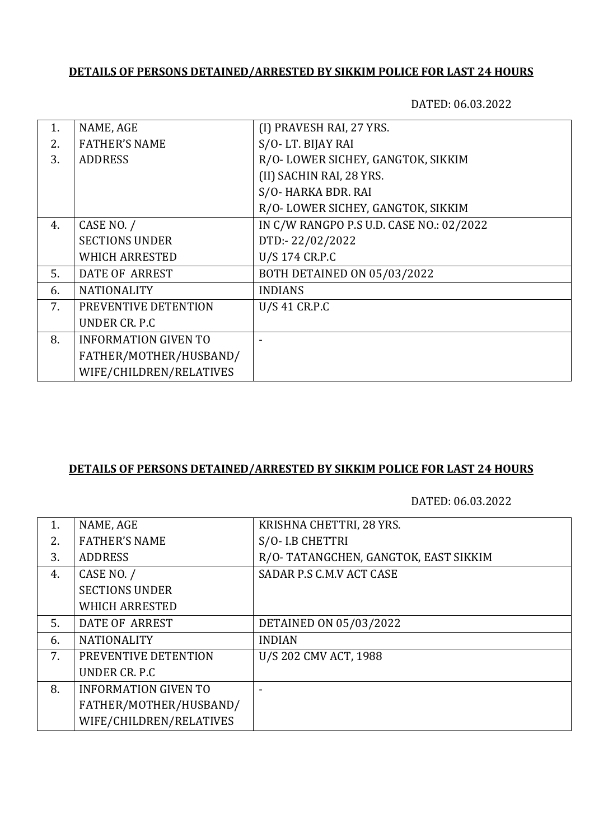### **DETAILS OF PERSONS DETAINED/ARRESTED BY SIKKIM POLICE FOR LAST 24 HOURS**

DATED: 06.03.2022

| 1. | NAME, AGE                   | (I) PRAVESH RAI, 27 YRS.                 |
|----|-----------------------------|------------------------------------------|
| 2. | <b>FATHER'S NAME</b>        | S/O-LT. BIJAY RAI                        |
| 3. | <b>ADDRESS</b>              | R/O-LOWER SICHEY, GANGTOK, SIKKIM        |
|    |                             | (II) SACHIN RAI, 28 YRS.                 |
|    |                             | S/O-HARKA BDR. RAI                       |
|    |                             | R/O-LOWER SICHEY, GANGTOK, SIKKIM        |
| 4. | CASE NO. /                  | IN C/W RANGPO P.S U.D. CASE NO.: 02/2022 |
|    | <b>SECTIONS UNDER</b>       | DTD:-22/02/2022                          |
|    | <b>WHICH ARRESTED</b>       | U/S 174 CR.P.C                           |
| 5. | <b>DATE OF ARREST</b>       | <b>BOTH DETAINED ON 05/03/2022</b>       |
| 6. | <b>NATIONALITY</b>          | <b>INDIANS</b>                           |
| 7. | PREVENTIVE DETENTION        | U/S 41 CR.P.C                            |
|    | UNDER CR. P.C.              |                                          |
| 8. | <b>INFORMATION GIVEN TO</b> |                                          |
|    | FATHER/MOTHER/HUSBAND/      |                                          |
|    | WIFE/CHILDREN/RELATIVES     |                                          |
|    |                             |                                          |

#### **DETAILS OF PERSONS DETAINED/ARRESTED BY SIKKIM POLICE FOR LAST 24 HOURS**

DATED: 06.03.2022

| 1. | NAME, AGE                   | KRISHNA CHETTRI, 28 YRS.             |
|----|-----------------------------|--------------------------------------|
|    |                             |                                      |
| 2. | <b>FATHER'S NAME</b>        | S/O- I.B CHETTRI                     |
| 3. | <b>ADDRESS</b>              | R/O-TATANGCHEN, GANGTOK, EAST SIKKIM |
| 4. | CASE NO. /                  | SADAR P.S C.M.V ACT CASE             |
|    | <b>SECTIONS UNDER</b>       |                                      |
|    | <b>WHICH ARRESTED</b>       |                                      |
| 5. | DATE OF ARREST              | DETAINED ON 05/03/2022               |
| 6. | <b>NATIONALITY</b>          | <b>INDIAN</b>                        |
| 7. | PREVENTIVE DETENTION        | U/S 202 CMV ACT, 1988                |
|    | UNDER CR. P.C               |                                      |
| 8. | <b>INFORMATION GIVEN TO</b> |                                      |
|    | FATHER/MOTHER/HUSBAND/      |                                      |
|    | WIFE/CHILDREN/RELATIVES     |                                      |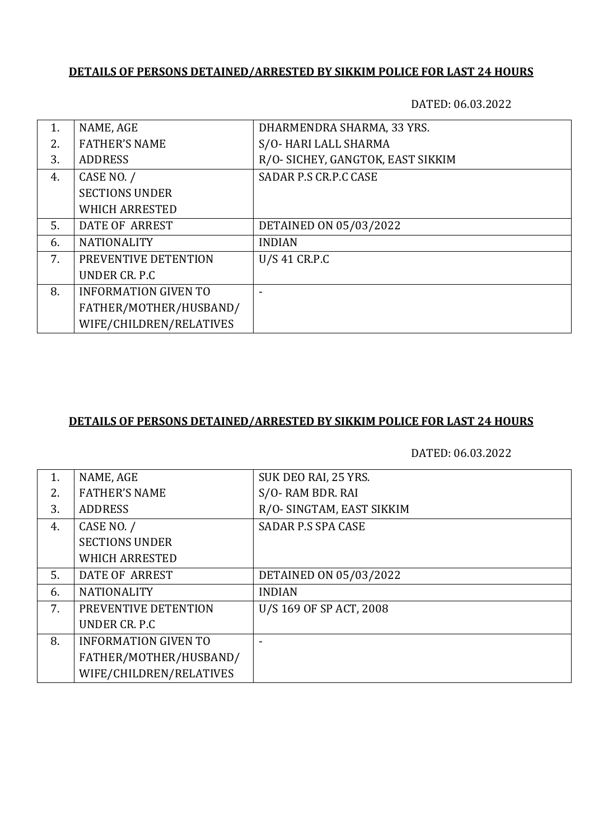# **DETAILS OF PERSONS DETAINED/ARRESTED BY SIKKIM POLICE FOR LAST 24 HOURS**

DATED: 06.03.2022

| 1.  | NAME, AGE                   | DHARMENDRA SHARMA, 33 YRS.        |
|-----|-----------------------------|-----------------------------------|
| 2.5 | <b>FATHER'S NAME</b>        | S/O-HARI LALL SHARMA              |
| 3.  | <b>ADDRESS</b>              | R/O- SICHEY, GANGTOK, EAST SIKKIM |
| 4.  | CASE NO. /                  | SADAR P.S CR.P.C CASE             |
|     | <b>SECTIONS UNDER</b>       |                                   |
|     | <b>WHICH ARRESTED</b>       |                                   |
| 5.  | DATE OF ARREST              | DETAINED ON 05/03/2022            |
| 6.  | <b>NATIONALITY</b>          | <b>INDIAN</b>                     |
| 7.  | PREVENTIVE DETENTION        | U/S 41 CR.P.C                     |
|     | UNDER CR. P.C.              |                                   |
| 8.  | <b>INFORMATION GIVEN TO</b> |                                   |
|     | FATHER/MOTHER/HUSBAND/      |                                   |
|     | WIFE/CHILDREN/RELATIVES     |                                   |

#### **DETAILS OF PERSONS DETAINED/ARRESTED BY SIKKIM POLICE FOR LAST 24 HOURS**

DATED: 06.03.2022

| 1. | NAME, AGE                   | SUK DEO RAI, 25 YRS.      |
|----|-----------------------------|---------------------------|
| 2. | <b>FATHER'S NAME</b>        | S/O-RAM BDR. RAI          |
| 3. | <b>ADDRESS</b>              | R/O- SINGTAM, EAST SIKKIM |
| 4. | CASE NO. /                  | <b>SADAR P.S SPA CASE</b> |
|    | <b>SECTIONS UNDER</b>       |                           |
|    | <b>WHICH ARRESTED</b>       |                           |
| 5. | DATE OF ARREST              | DETAINED ON 05/03/2022    |
| 6. | <b>NATIONALITY</b>          | <b>INDIAN</b>             |
| 7. | PREVENTIVE DETENTION        | U/S 169 OF SP ACT, 2008   |
|    | UNDER CR. P.C.              |                           |
| 8. | <b>INFORMATION GIVEN TO</b> |                           |
|    | FATHER/MOTHER/HUSBAND/      |                           |
|    | WIFE/CHILDREN/RELATIVES     |                           |